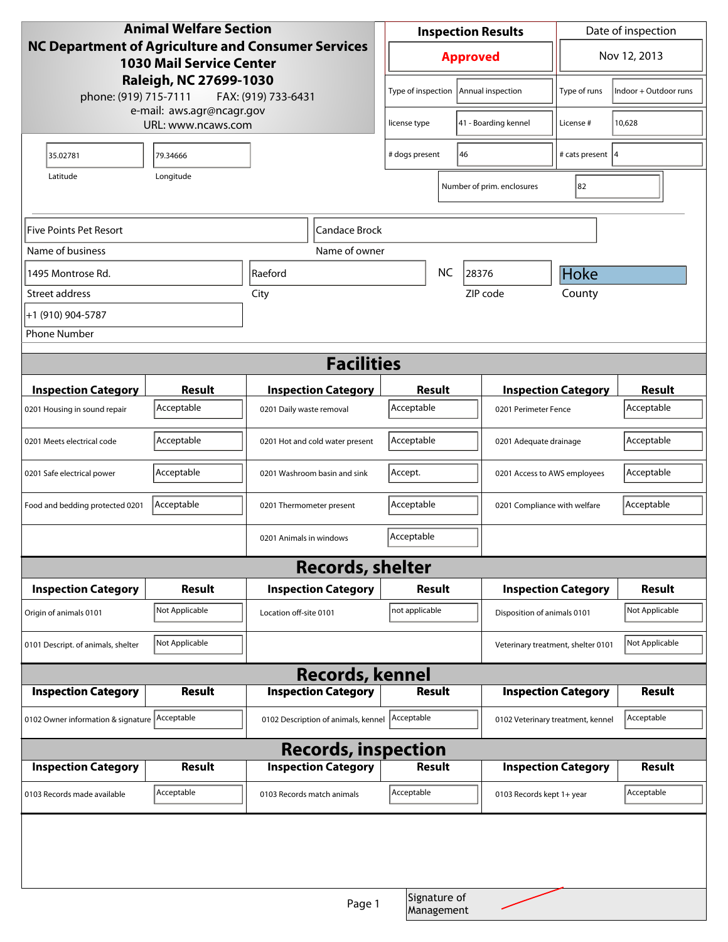| <b>Animal Welfare Section</b>                                                                                                                                   |                |                                     |                                               | <b>Inspection Results</b> |                            |                                                    | Date of inspection         |                |
|-----------------------------------------------------------------------------------------------------------------------------------------------------------------|----------------|-------------------------------------|-----------------------------------------------|---------------------------|----------------------------|----------------------------------------------------|----------------------------|----------------|
| NC Department of Agriculture and Consumer Services<br><b>1030 Mail Service Center</b><br>Raleigh, NC 27699-1030<br>phone: (919) 715-7111<br>FAX: (919) 733-6431 |                |                                     | <b>Approved</b>                               |                           |                            | Nov 12, 2013                                       |                            |                |
|                                                                                                                                                                 |                |                                     | Type of inspection<br>Annual inspection       |                           |                            | Type of runs                                       | Indoor + Outdoor runs      |                |
| e-mail: aws.agr@ncagr.gov<br>URL: www.ncaws.com                                                                                                                 |                |                                     | license type                                  |                           | 41 - Boarding kennel       | License #                                          | 10,628                     |                |
| 35.02781                                                                                                                                                        | 79.34666       |                                     |                                               | 46<br># dogs present      |                            |                                                    | # cats present  4          |                |
| Longitude<br>Latitude                                                                                                                                           |                |                                     |                                               |                           | Number of prim. enclosures | 82                                                 |                            |                |
| Five Points Pet Resort<br>Candace Brock                                                                                                                         |                |                                     |                                               |                           |                            |                                                    |                            |                |
| Name of business                                                                                                                                                | Name of owner  |                                     |                                               |                           |                            |                                                    |                            |                |
| 1495 Montrose Rd.                                                                                                                                               |                | Raeford                             |                                               | <b>NC</b><br>28376        |                            | Hoke                                               |                            |                |
| Street address                                                                                                                                                  |                | City                                |                                               |                           |                            | ZIP code                                           | County                     |                |
| +1 (910) 904-5787                                                                                                                                               |                |                                     |                                               |                           |                            |                                                    |                            |                |
| <b>Phone Number</b>                                                                                                                                             |                |                                     |                                               |                           |                            |                                                    |                            |                |
| <b>Facilities</b>                                                                                                                                               |                |                                     |                                               |                           |                            |                                                    |                            |                |
| <b>Inspection Category</b>                                                                                                                                      | <b>Result</b>  |                                     | <b>Inspection Category</b>                    |                           |                            |                                                    |                            | <b>Result</b>  |
| 0201 Housing in sound repair                                                                                                                                    | Acceptable     | 0201 Daily waste removal            |                                               | Result<br>Acceptable      |                            | <b>Inspection Category</b><br>0201 Perimeter Fence |                            | Acceptable     |
|                                                                                                                                                                 |                |                                     |                                               |                           |                            |                                                    |                            |                |
| 0201 Meets electrical code                                                                                                                                      | Acceptable     |                                     | Acceptable<br>0201 Hot and cold water present |                           | 0201 Adequate drainage     |                                                    | Acceptable                 |                |
| 0201 Safe electrical power                                                                                                                                      | Acceptable     |                                     | 0201 Washroom basin and sink                  | Accept.                   |                            | 0201 Access to AWS employees                       |                            | Acceptable     |
| Food and bedding protected 0201                                                                                                                                 | Acceptable     | 0201 Thermometer present            |                                               | Acceptable                |                            | 0201 Compliance with welfare                       |                            | Acceptable     |
|                                                                                                                                                                 |                | 0201 Animals in windows             |                                               | Acceptable                |                            |                                                    |                            |                |
| <b>Records, shelter</b>                                                                                                                                         |                |                                     |                                               |                           |                            |                                                    |                            |                |
| <b>Inspection Category</b>                                                                                                                                      | <b>Result</b>  |                                     | <b>Inspection Category</b>                    | <b>Result</b>             |                            | <b>Inspection Category</b>                         |                            | <b>Result</b>  |
| Origin of animals 0101                                                                                                                                          | Not Applicable | Location off-site 0101              |                                               | not applicable            |                            | Disposition of animals 0101                        |                            | Not Applicable |
| 0101 Descript. of animals, shelter                                                                                                                              | Not Applicable |                                     |                                               |                           |                            | Veterinary treatment, shelter 0101                 |                            | Not Applicable |
| <b>Records, kennel</b>                                                                                                                                          |                |                                     |                                               |                           |                            |                                                    |                            |                |
| <b>Inspection Category</b>                                                                                                                                      | Result         |                                     | <b>Inspection Category</b>                    | <b>Result</b>             |                            | <b>Inspection Category</b>                         |                            | <b>Result</b>  |
| 0102 Owner information & signature Acceptable                                                                                                                   |                | 0102 Description of animals, kennel |                                               | Acceptable                |                            | 0102 Veterinary treatment, kennel                  |                            | Acceptable     |
| <b>Records, inspection</b>                                                                                                                                      |                |                                     |                                               |                           |                            |                                                    |                            |                |
| <b>Inspection Category</b>                                                                                                                                      | <b>Result</b>  |                                     | <b>Inspection Category</b>                    |                           | <b>Result</b>              |                                                    | <b>Inspection Category</b> | <b>Result</b>  |
| 0103 Records made available                                                                                                                                     | Acceptable     |                                     | 0103 Records match animals                    | Acceptable                |                            | 0103 Records kept 1+ year                          |                            | Acceptable     |
|                                                                                                                                                                 |                |                                     |                                               |                           | Signature of               |                                                    |                            |                |
|                                                                                                                                                                 |                |                                     | Page 1                                        |                           | Management                 |                                                    |                            |                |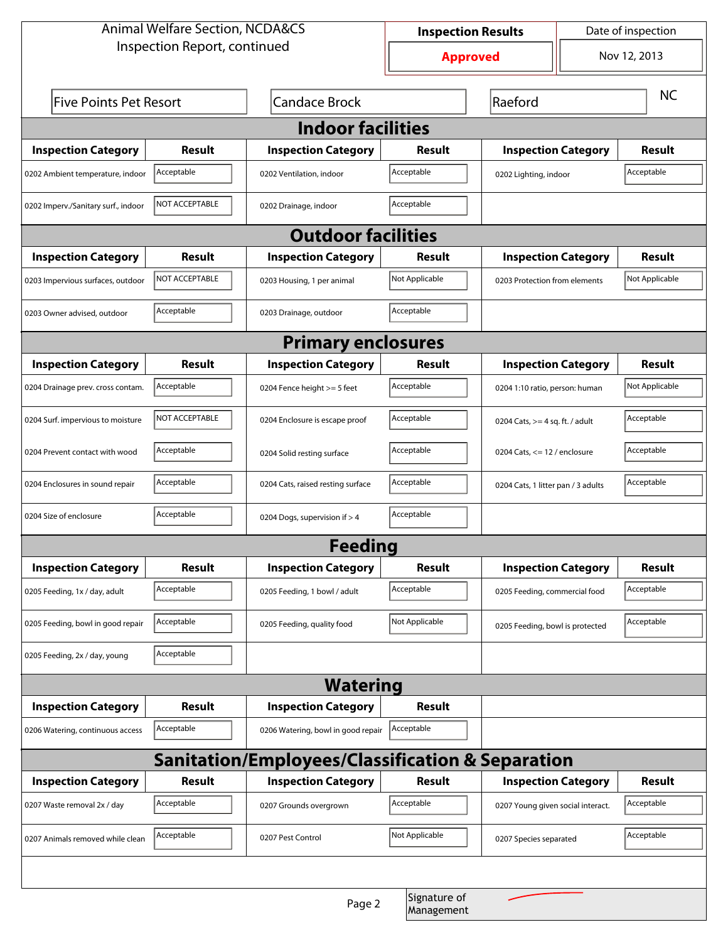| <b>Animal Welfare Section, NCDA&amp;CS</b>       |                        |                                    | Date of inspection<br><b>Inspection Results</b> |                                   |                                    |               |  |  |  |
|--------------------------------------------------|------------------------|------------------------------------|-------------------------------------------------|-----------------------------------|------------------------------------|---------------|--|--|--|
| Inspection Report, continued                     |                        |                                    | <b>Approved</b>                                 |                                   |                                    | Nov 12, 2013  |  |  |  |
| <b>Five Points Pet Resort</b>                    |                        | <b>Candace Brock</b>               | Raeford                                         |                                   | <b>NC</b>                          |               |  |  |  |
| <b>Indoor facilities</b>                         |                        |                                    |                                                 |                                   |                                    |               |  |  |  |
| <b>Inspection Category</b>                       | Result                 | <b>Inspection Category</b>         | Result                                          | <b>Inspection Category</b>        |                                    | Result        |  |  |  |
| 0202 Ambient temperature, indoor                 | Acceptable             | 0202 Ventilation, indoor           | Acceptable                                      | 0202 Lighting, indoor             | Acceptable                         |               |  |  |  |
| 0202 Imperv./Sanitary surf., indoor              | <b>INOT ACCEPTABLE</b> | 0202 Drainage, indoor              | Acceptable                                      |                                   |                                    |               |  |  |  |
| <b>Outdoor facilities</b>                        |                        |                                    |                                                 |                                   |                                    |               |  |  |  |
| <b>Inspection Category</b>                       | Result                 | <b>Inspection Category</b>         | Result                                          | <b>Inspection Category</b>        |                                    | Result        |  |  |  |
| 0203 Impervious surfaces, outdoor                | <b>NOT ACCEPTABLE</b>  | 0203 Housing, 1 per animal         | Not Applicable                                  |                                   | 0203 Protection from elements      |               |  |  |  |
| 0203 Owner advised, outdoor                      | Acceptable             | 0203 Drainage, outdoor             | Acceptable                                      |                                   |                                    |               |  |  |  |
| <b>Primary enclosures</b>                        |                        |                                    |                                                 |                                   |                                    |               |  |  |  |
| <b>Inspection Category</b>                       | Result                 | <b>Inspection Category</b>         | Result                                          | <b>Inspection Category</b>        |                                    | Result        |  |  |  |
| 0204 Drainage prev. cross contam.                | Acceptable             | 0204 Fence height >= 5 feet        | Acceptable                                      |                                   | 0204 1:10 ratio, person: human     |               |  |  |  |
| 0204 Surf. impervious to moisture                | NOT ACCEPTABLE         | 0204 Enclosure is escape proof     | Acceptable                                      | 0204 Cats, $>=$ 4 sq. ft. / adult |                                    | Acceptable    |  |  |  |
| 0204 Prevent contact with wood                   | Acceptable             | 0204 Solid resting surface         | Acceptable                                      |                                   | 0204 Cats, $<= 12$ / enclosure     |               |  |  |  |
| 0204 Enclosures in sound repair                  | Acceptable             | 0204 Cats, raised resting surface  | Acceptable                                      |                                   | 0204 Cats, 1 litter pan / 3 adults |               |  |  |  |
| 0204 Size of enclosure                           | Acceptable             | 0204 Dogs, supervision if > 4      | Acceptable                                      |                                   |                                    |               |  |  |  |
|                                                  |                        | <b>Feeding</b>                     |                                                 |                                   |                                    |               |  |  |  |
| <b>Inspection Category</b>                       | <b>Result</b>          | <b>Inspection Category</b>         | <b>Result</b>                                   | <b>Inspection Category</b>        |                                    | <b>Result</b> |  |  |  |
| 0205 Feeding, 1x / day, adult                    | Acceptable             | 0205 Feeding, 1 bowl / adult       | Acceptable                                      | 0205 Feeding, commercial food     |                                    | Acceptable    |  |  |  |
| 0205 Feeding, bowl in good repair                | Acceptable             | 0205 Feeding, quality food         | Not Applicable                                  | 0205 Feeding, bowl is protected   |                                    | Acceptable    |  |  |  |
| 0205 Feeding, 2x / day, young                    | Acceptable             |                                    |                                                 |                                   |                                    |               |  |  |  |
| <b>Watering</b>                                  |                        |                                    |                                                 |                                   |                                    |               |  |  |  |
| <b>Inspection Category</b>                       | Result                 | <b>Inspection Category</b>         | <b>Result</b>                                   |                                   |                                    |               |  |  |  |
| 0206 Watering, continuous access                 | Acceptable             | 0206 Watering, bowl in good repair | Acceptable                                      |                                   |                                    |               |  |  |  |
| Sanitation/Employees/Classification & Separation |                        |                                    |                                                 |                                   |                                    |               |  |  |  |
| <b>Inspection Category</b>                       | Result                 | <b>Inspection Category</b>         | <b>Result</b>                                   | <b>Inspection Category</b>        |                                    | <b>Result</b> |  |  |  |
| 0207 Waste removal 2x / day                      | Acceptable             | 0207 Grounds overgrown             | Acceptable                                      | 0207 Young given social interact. |                                    | Acceptable    |  |  |  |
| 0207 Animals removed while clean                 | Acceptable             | 0207 Pest Control                  | Not Applicable                                  | 0207 Species separated            |                                    | Acceptable    |  |  |  |
|                                                  |                        |                                    |                                                 |                                   |                                    |               |  |  |  |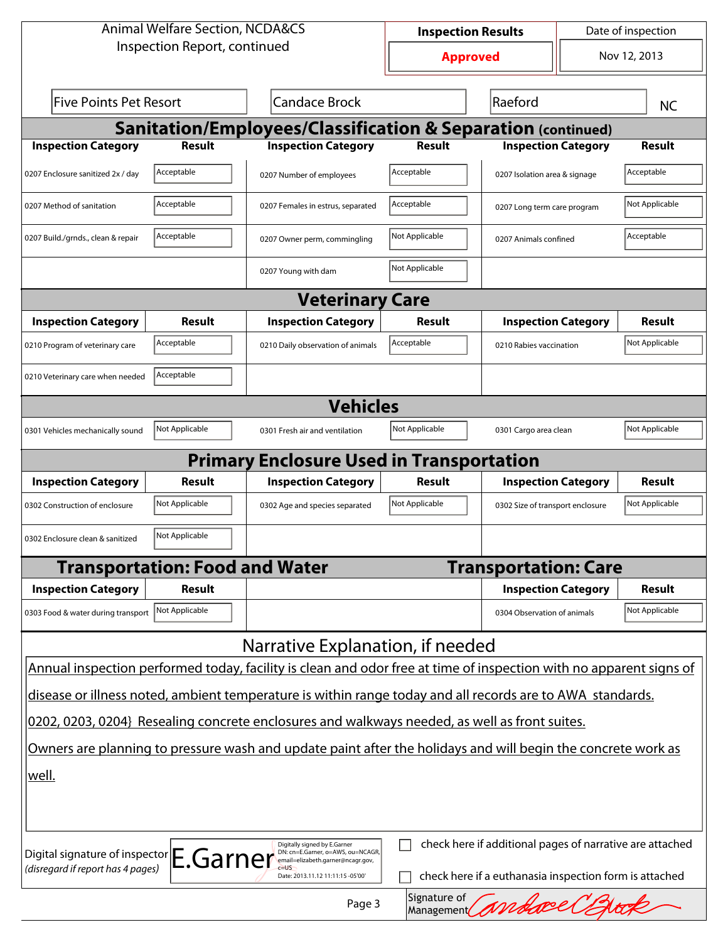| <b>Animal Welfare Section, NCDA&amp;CS</b>                                                                   |                                       |                                                                                                                    | Date of inspection<br><b>Inspection Results</b> |                                                        |  |                |  |  |
|--------------------------------------------------------------------------------------------------------------|---------------------------------------|--------------------------------------------------------------------------------------------------------------------|-------------------------------------------------|--------------------------------------------------------|--|----------------|--|--|
| Inspection Report, continued                                                                                 |                                       |                                                                                                                    | <b>Approved</b>                                 |                                                        |  | Nov 12, 2013   |  |  |
| <b>Five Points Pet Resort</b><br><b>Candace Brock</b>                                                        |                                       |                                                                                                                    | Raeford                                         |                                                        |  | <b>NC</b>      |  |  |
| Sanitation/Employees/Classification & Separation (continued)                                                 |                                       |                                                                                                                    |                                                 |                                                        |  |                |  |  |
| <b>Inspection Category</b>                                                                                   | <b>Result</b>                         | <b>Inspection Category</b>                                                                                         | <b>Result</b>                                   | <b>Inspection Category</b>                             |  | <b>Result</b>  |  |  |
| 0207 Enclosure sanitized 2x / day                                                                            | Acceptable                            | 0207 Number of employees                                                                                           | Acceptable                                      | 0207 Isolation area & signage                          |  | Acceptable     |  |  |
| 0207 Method of sanitation                                                                                    | Acceptable                            | 0207 Females in estrus, separated                                                                                  | Acceptable                                      | 0207 Long term care program                            |  | Not Applicable |  |  |
| 0207 Build./grnds., clean & repair                                                                           | Acceptable                            | 0207 Owner perm, commingling                                                                                       | Not Applicable<br>0207 Animals confined         |                                                        |  | Acceptable     |  |  |
|                                                                                                              |                                       | 0207 Young with dam                                                                                                | Not Applicable                                  |                                                        |  |                |  |  |
|                                                                                                              |                                       | <b>Veterinary Care</b>                                                                                             |                                                 |                                                        |  |                |  |  |
| <b>Inspection Category</b>                                                                                   | <b>Result</b>                         | <b>Inspection Category</b>                                                                                         | Result                                          | <b>Inspection Category</b>                             |  | Result         |  |  |
| 0210 Program of veterinary care                                                                              | Acceptable                            | 0210 Daily observation of animals                                                                                  | Acceptable                                      | 0210 Rabies vaccination                                |  | Not Applicable |  |  |
| 0210 Veterinary care when needed                                                                             | Acceptable                            |                                                                                                                    |                                                 |                                                        |  |                |  |  |
| <b>Vehicles</b>                                                                                              |                                       |                                                                                                                    |                                                 |                                                        |  |                |  |  |
| 0301 Vehicles mechanically sound                                                                             | Not Applicable                        | 0301 Fresh air and ventilation                                                                                     | Not Applicable                                  | 0301 Cargo area clean                                  |  | Not Applicable |  |  |
|                                                                                                              |                                       | <b>Primary Enclosure Used in Transportation</b>                                                                    |                                                 |                                                        |  |                |  |  |
| <b>Inspection Category</b>                                                                                   | Result                                | <b>Inspection Category</b>                                                                                         | Result                                          | <b>Inspection Category</b>                             |  | Result         |  |  |
| 0302 Construction of enclosure                                                                               | Not Applicable                        | 0302 Age and species separated                                                                                     | Not Applicable                                  | 0302 Size of transport enclosure                       |  | Not Applicable |  |  |
| 0302 Enclosure clean & sanitized                                                                             | Not Applicable                        |                                                                                                                    |                                                 |                                                        |  |                |  |  |
|                                                                                                              | <b>Transportation: Food and Water</b> |                                                                                                                    |                                                 | <b>Transportation: Care</b>                            |  |                |  |  |
| <b>Inspection Category</b>                                                                                   | Result                                |                                                                                                                    |                                                 | <b>Inspection Category</b>                             |  | Result         |  |  |
| 0303 Food & water during transport                                                                           | Not Applicable                        |                                                                                                                    |                                                 | 0304 Observation of animals                            |  | Not Applicable |  |  |
|                                                                                                              |                                       | Narrative Explanation, if needed                                                                                   |                                                 |                                                        |  |                |  |  |
|                                                                                                              |                                       | Annual inspection performed today, facility is clean and odor free at time of inspection with no apparent signs of |                                                 |                                                        |  |                |  |  |
| disease or illness noted, ambient temperature is within range today and all records are to AWA standards.    |                                       |                                                                                                                    |                                                 |                                                        |  |                |  |  |
| 0202, 0203, 0204} Resealing concrete enclosures and walkways needed, as well as front suites.                |                                       |                                                                                                                    |                                                 |                                                        |  |                |  |  |
| Owners are planning to pressure wash and update paint after the holidays and will begin the concrete work as |                                       |                                                                                                                    |                                                 |                                                        |  |                |  |  |
| well.                                                                                                        |                                       |                                                                                                                    |                                                 |                                                        |  |                |  |  |
|                                                                                                              |                                       |                                                                                                                    |                                                 |                                                        |  |                |  |  |
| check here if additional pages of narrative are attached<br>Digitally signed by E.Garner                     |                                       |                                                                                                                    |                                                 |                                                        |  |                |  |  |
| Digital signature of inspector E.Garner<br>(disregard if report has 4 pages)                                 |                                       | DN: cn=E.Garner, o=AWS, ou=NCAGR,<br>email=elizabeth.garner@ncagr.gov,<br>Date: 2013.11.12 11:11:15 -05'00'        |                                                 | check here if a euthanasia inspection form is attached |  |                |  |  |
|                                                                                                              | Signature of<br>Page 3<br>Management  |                                                                                                                    |                                                 |                                                        |  |                |  |  |